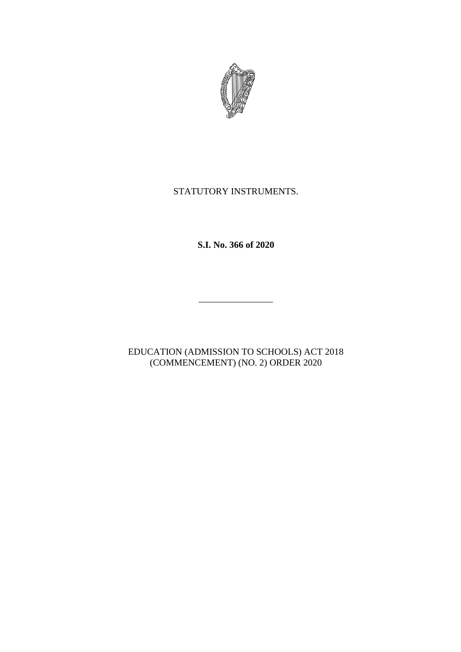

## STATUTORY INSTRUMENTS.

**S.I. No. 366 of 2020**

\_\_\_\_\_\_\_\_\_\_\_\_\_\_\_\_

EDUCATION (ADMISSION TO SCHOOLS) ACT 2018 (COMMENCEMENT) (NO. 2) ORDER 2020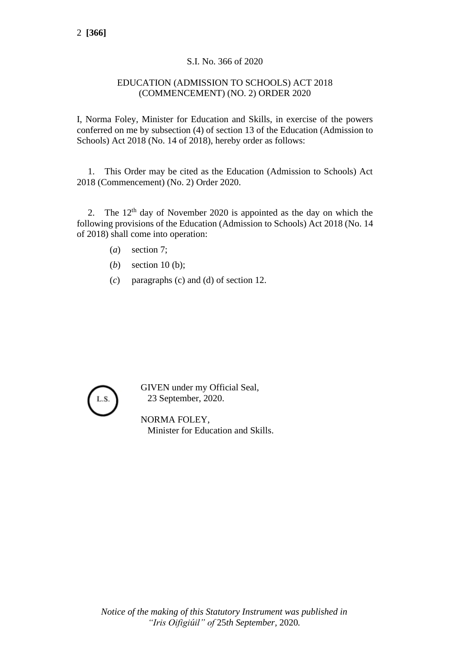## S.I. No. 366 of 2020

## EDUCATION (ADMISSION TO SCHOOLS) ACT 2018 (COMMENCEMENT) (NO. 2) ORDER 2020

I, Norma Foley, Minister for Education and Skills, in exercise of the powers conferred on me by subsection (4) of section 13 of the Education (Admission to Schools) Act 2018 (No. 14 of 2018), hereby order as follows:

1. This Order may be cited as the Education (Admission to Schools) Act 2018 (Commencement) (No. 2) Order 2020.

2. The  $12<sup>th</sup>$  day of November 2020 is appointed as the day on which the following provisions of the Education (Admission to Schools) Act 2018 (No. 14 of 2018) shall come into operation:

- (*a*) section 7;
- (*b*) section 10 (b);
- (*c*) paragraphs (c) and (d) of section 12.



GIVEN under my Official Seal, 23 September, 2020.

NORMA FOLEY, Minister for Education and Skills.